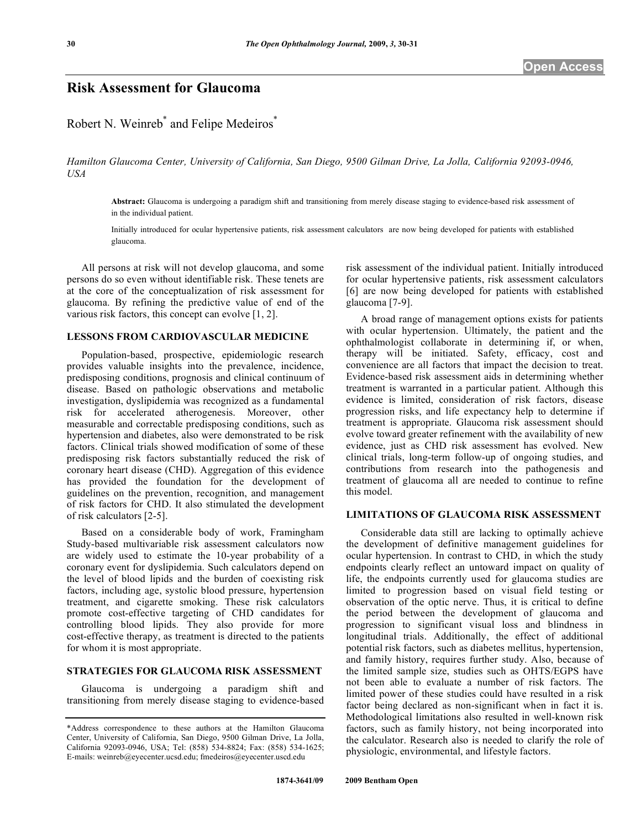## **Risk Assessment for Glaucoma**

# Robert N. Weinreb<sup>\*</sup> and Felipe Medeiros<sup>\*</sup>

*Hamilton Glaucoma Center, University of California, San Diego, 9500 Gilman Drive, La Jolla, California 92093-0946, USA* 

**Abstract:** Glaucoma is undergoing a paradigm shift and transitioning from merely disease staging to evidence-based risk assessment of in the individual patient.

Initially introduced for ocular hypertensive patients, risk assessment calculators are now being developed for patients with established glaucoma.

 All persons at risk will not develop glaucoma, and some persons do so even without identifiable risk. These tenets are at the core of the conceptualization of risk assessment for glaucoma. By refining the predictive value of end of the various risk factors, this concept can evolve [1, 2].

### **LESSONS FROM CARDIOVASCULAR MEDICINE**

 Population-based, prospective, epidemiologic research provides valuable insights into the prevalence, incidence, predisposing conditions, prognosis and clinical continuum of disease. Based on pathologic observations and metabolic investigation, dyslipidemia was recognized as a fundamental risk for accelerated atherogenesis. Moreover, other measurable and correctable predisposing conditions, such as hypertension and diabetes, also were demonstrated to be risk factors. Clinical trials showed modification of some of these predisposing risk factors substantially reduced the risk of coronary heart disease (CHD). Aggregation of this evidence has provided the foundation for the development of guidelines on the prevention, recognition, and management of risk factors for CHD. It also stimulated the development of risk calculators [2-5].

 Based on a considerable body of work, Framingham Study-based multivariable risk assessment calculators now are widely used to estimate the 10-year probability of a coronary event for dyslipidemia. Such calculators depend on the level of blood lipids and the burden of coexisting risk factors, including age, systolic blood pressure, hypertension treatment, and cigarette smoking. These risk calculators promote cost-effective targeting of CHD candidates for controlling blood lipids. They also provide for more cost-effective therapy, as treatment is directed to the patients for whom it is most appropriate.

### **STRATEGIES FOR GLAUCOMA RISK ASSESSMENT**

 Glaucoma is undergoing a paradigm shift and transitioning from merely disease staging to evidence-based risk assessment of the individual patient. Initially introduced for ocular hypertensive patients, risk assessment calculators [6] are now being developed for patients with established glaucoma [7-9].

 A broad range of management options exists for patients with ocular hypertension. Ultimately, the patient and the ophthalmologist collaborate in determining if, or when, therapy will be initiated. Safety, efficacy, cost and convenience are all factors that impact the decision to treat. Evidence-based risk assessment aids in determining whether treatment is warranted in a particular patient. Although this evidence is limited, consideration of risk factors, disease progression risks, and life expectancy help to determine if treatment is appropriate. Glaucoma risk assessment should evolve toward greater refinement with the availability of new evidence, just as CHD risk assessment has evolved. New clinical trials, long-term follow-up of ongoing studies, and contributions from research into the pathogenesis and treatment of glaucoma all are needed to continue to refine this model.

#### **LIMITATIONS OF GLAUCOMA RISK ASSESSMENT**

 Considerable data still are lacking to optimally achieve the development of definitive management guidelines for ocular hypertension. In contrast to CHD, in which the study endpoints clearly reflect an untoward impact on quality of life, the endpoints currently used for glaucoma studies are limited to progression based on visual field testing or observation of the optic nerve. Thus, it is critical to define the period between the development of glaucoma and progression to significant visual loss and blindness in longitudinal trials. Additionally, the effect of additional potential risk factors, such as diabetes mellitus, hypertension, and family history, requires further study. Also, because of the limited sample size, studies such as OHTS/EGPS have not been able to evaluate a number of risk factors. The limited power of these studies could have resulted in a risk factor being declared as non-significant when in fact it is. Methodological limitations also resulted in well-known risk factors, such as family history, not being incorporated into the calculator. Research also is needed to clarify the role of physiologic, environmental, and lifestyle factors.

<sup>\*</sup>Address correspondence to these authors at the Hamilton Glaucoma Center, University of California, San Diego, 9500 Gilman Drive, La Jolla, California 92093-0946, USA; Tel: (858) 534-8824; Fax: (858) 534-1625; E-mails: weinreb@eyecenter.ucsd.edu; fmedeiros@eyecenter.uscd.edu